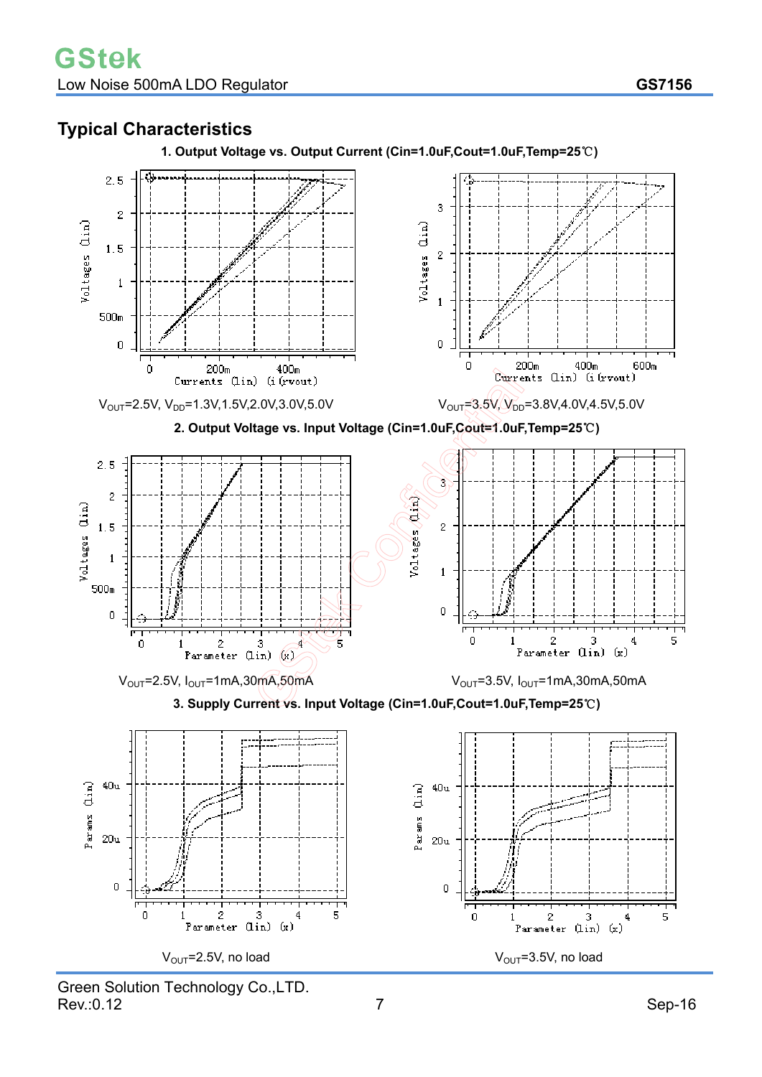# **Typical Characteristics**



**1. Output Voltage vs. Output Current (Cin=1.0uF,Cout=1.0uF,Temp=25**℃**)** 

Green Solution Technology Co.,LTD. Rev.:0.12 Sep-16

 $V_{\text{OUT}}$ =2.5V, no load  $V_{\text{OUT}}$ =3.5V, no load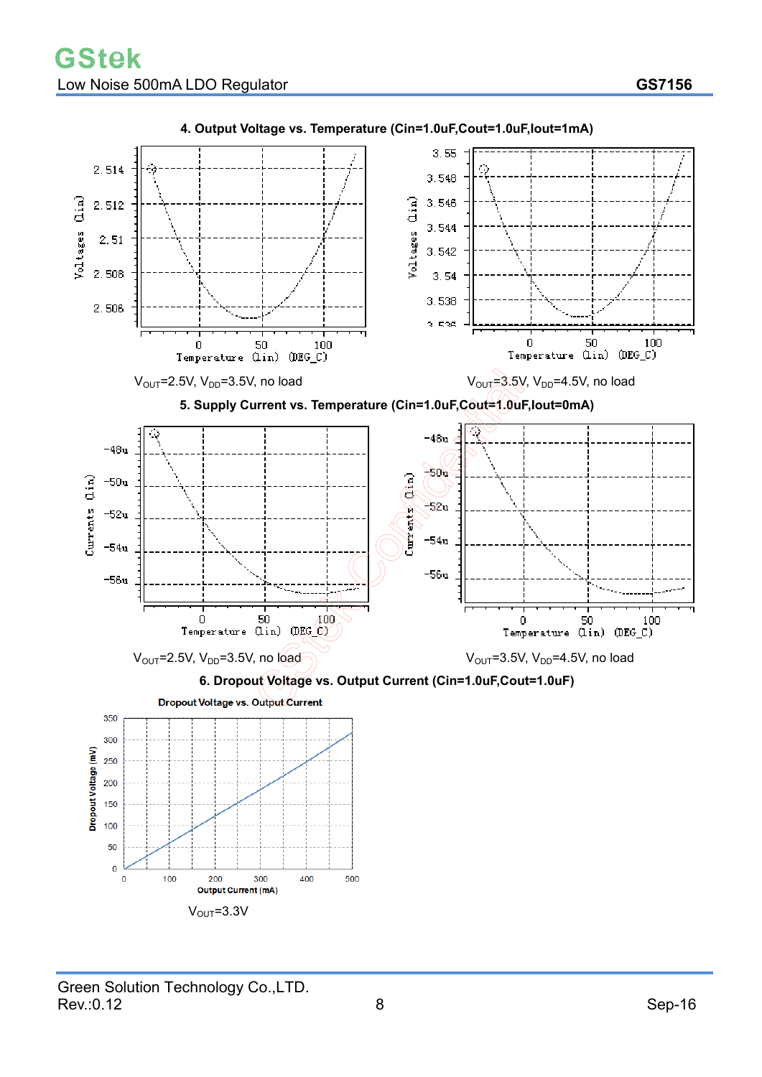

### **4. Output Voltage vs. Temperature (Cin=1.0uF,Cout=1.0uF,Iout=1mA)**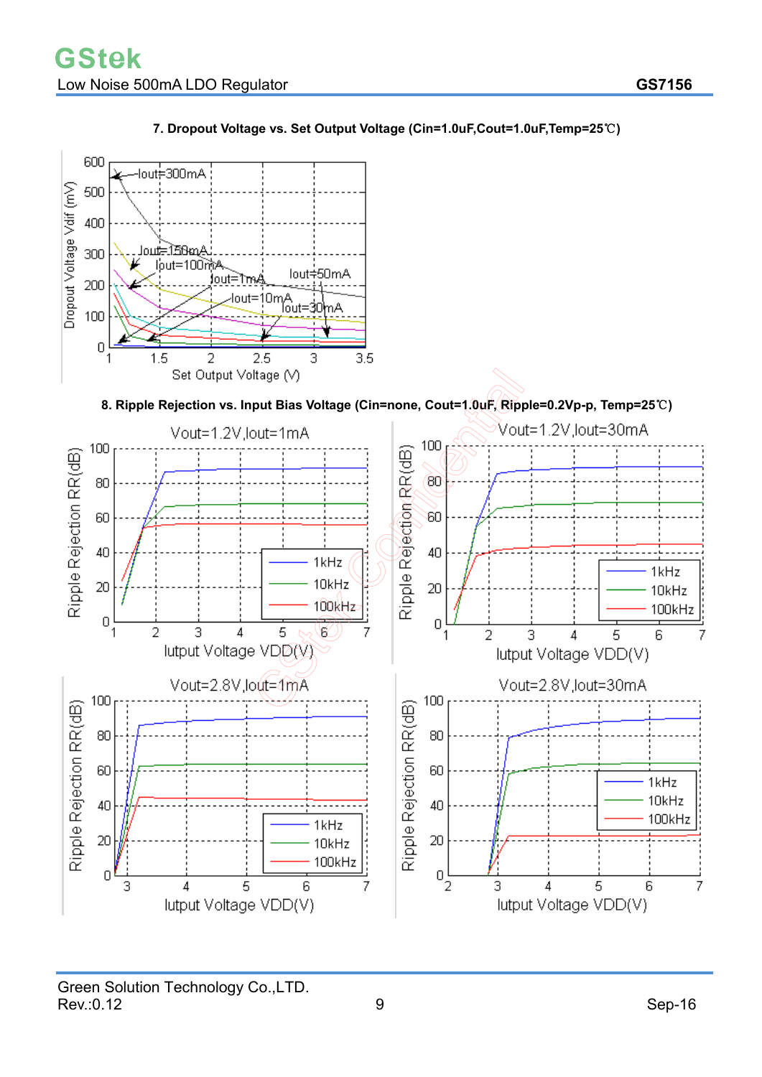

### **7. Dropout Voltage vs. Set Output Voltage (Cin=1.0uF,Cout=1.0uF,Temp=25**℃**)**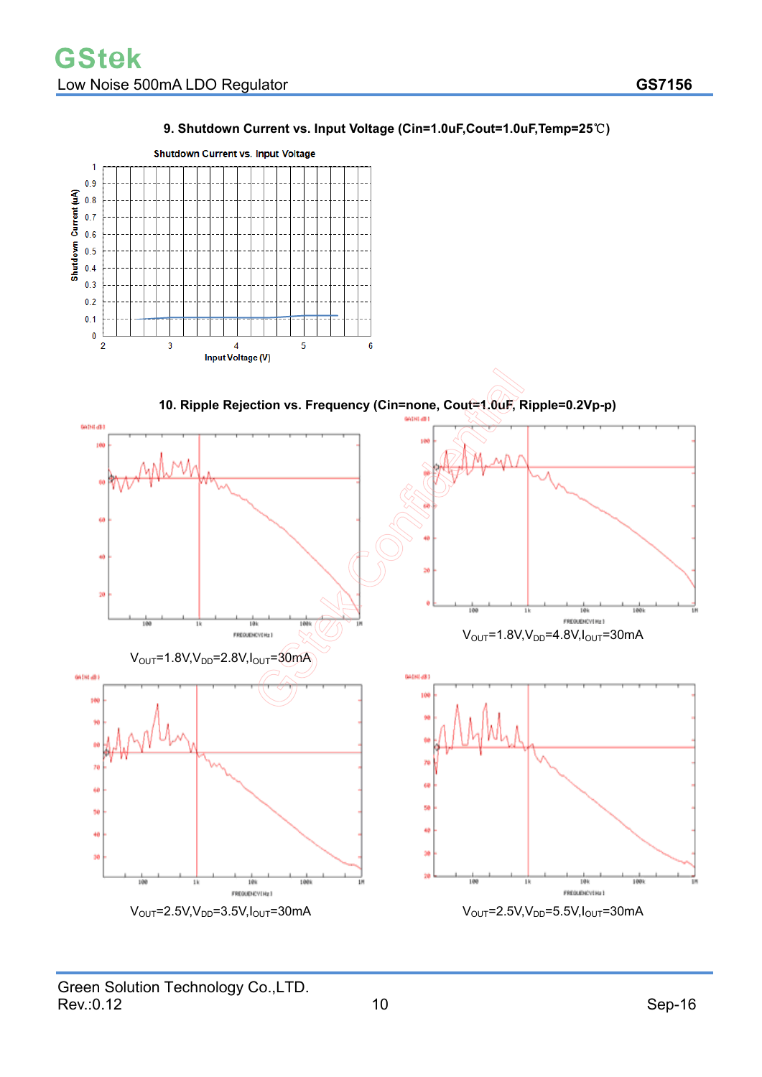$\overline{1}$ 

**Shutdown Current vs. Input Voltage** 



### **9. Shutdown Current vs. Input Voltage (Cin=1.0uF,Cout=1.0uF,Temp=25**℃**)**

FREQUENCYENZ 3

 $V_{\text{OUT}}$ =2.5V,V<sub>DD</sub>=3.5V,I<sub>OUT</sub>=30mA  $V_{\text{OUT}}$ =2.5V,V<sub>DD</sub>=5.5V,I<sub>OUT</sub>=30mA

FREQUENCY(Hz)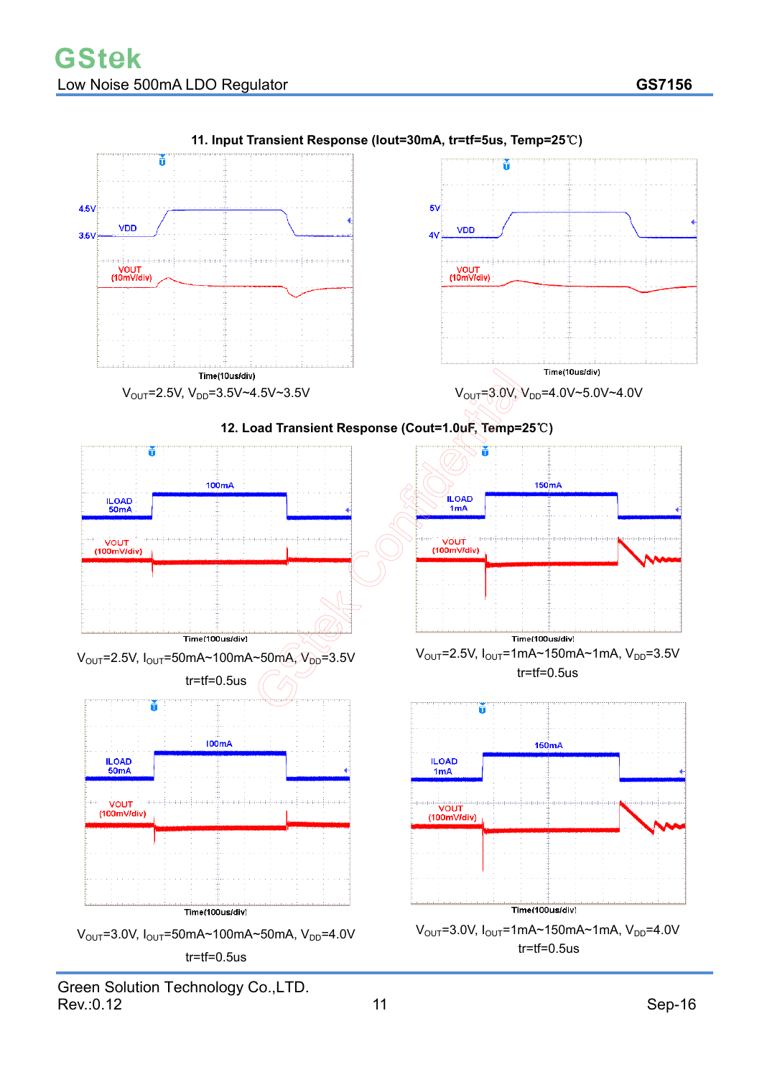

**11. Input Transient Response (Iout=30mA, tr=tf=5us, Temp=25**℃**)**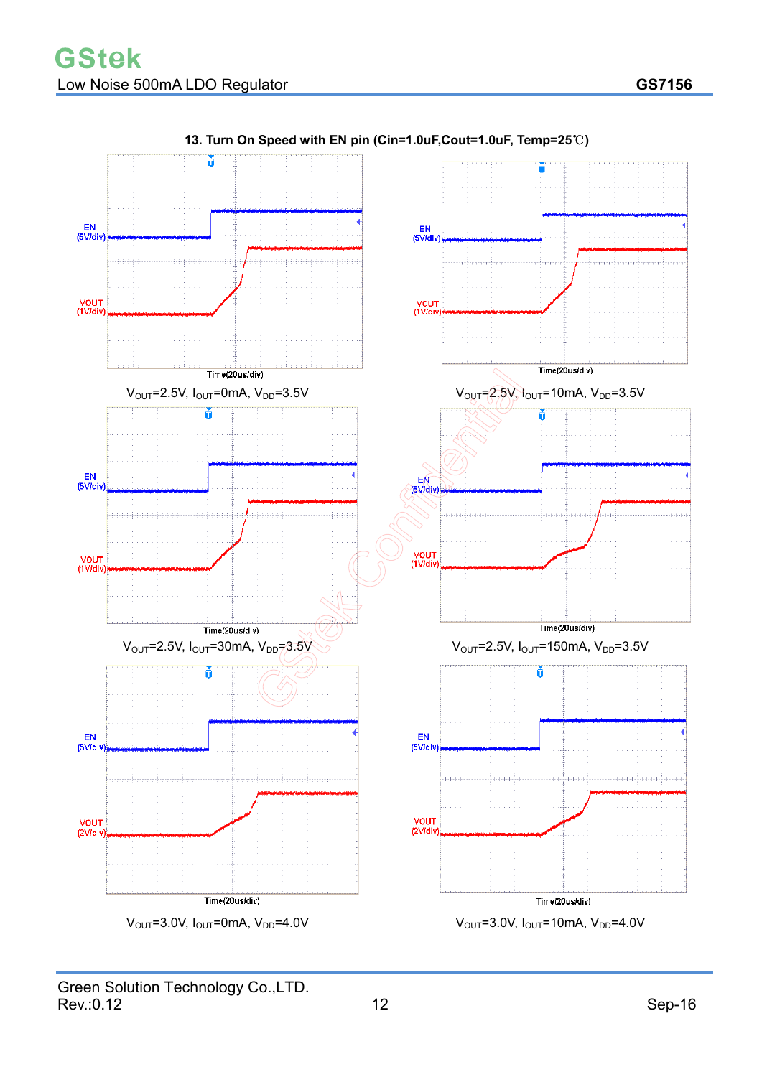

### **13. Turn On Speed with EN pin (Cin=1.0uF,Cout=1.0uF, Temp=25**℃**)**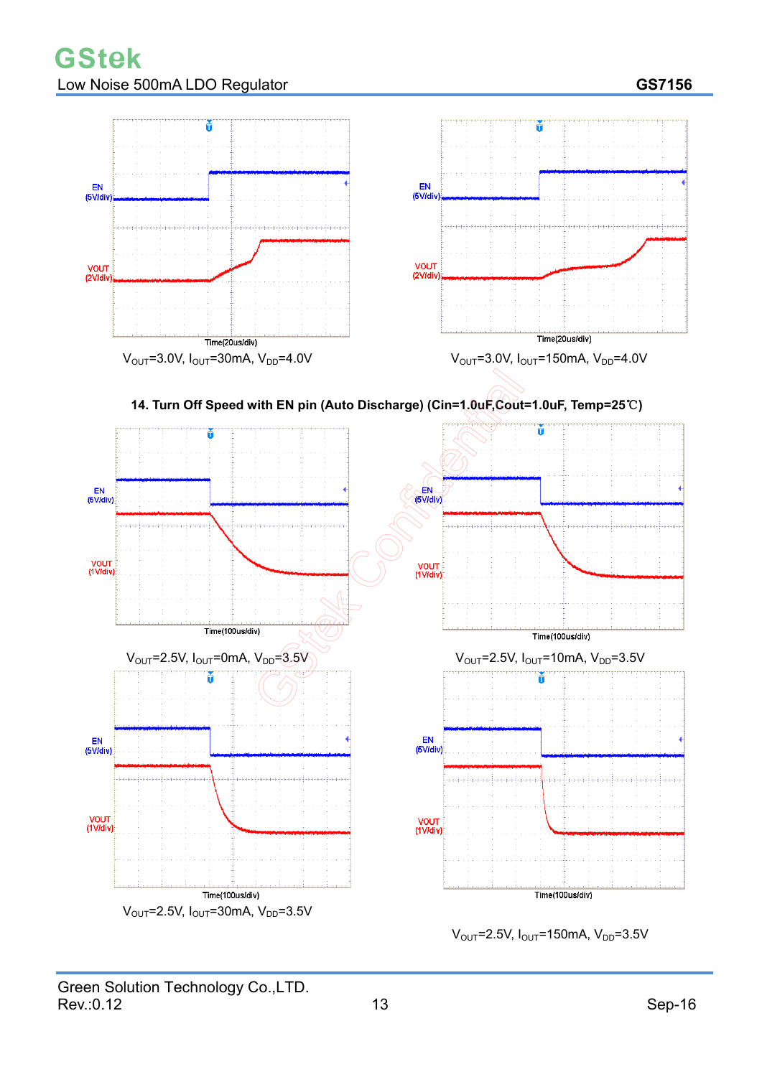

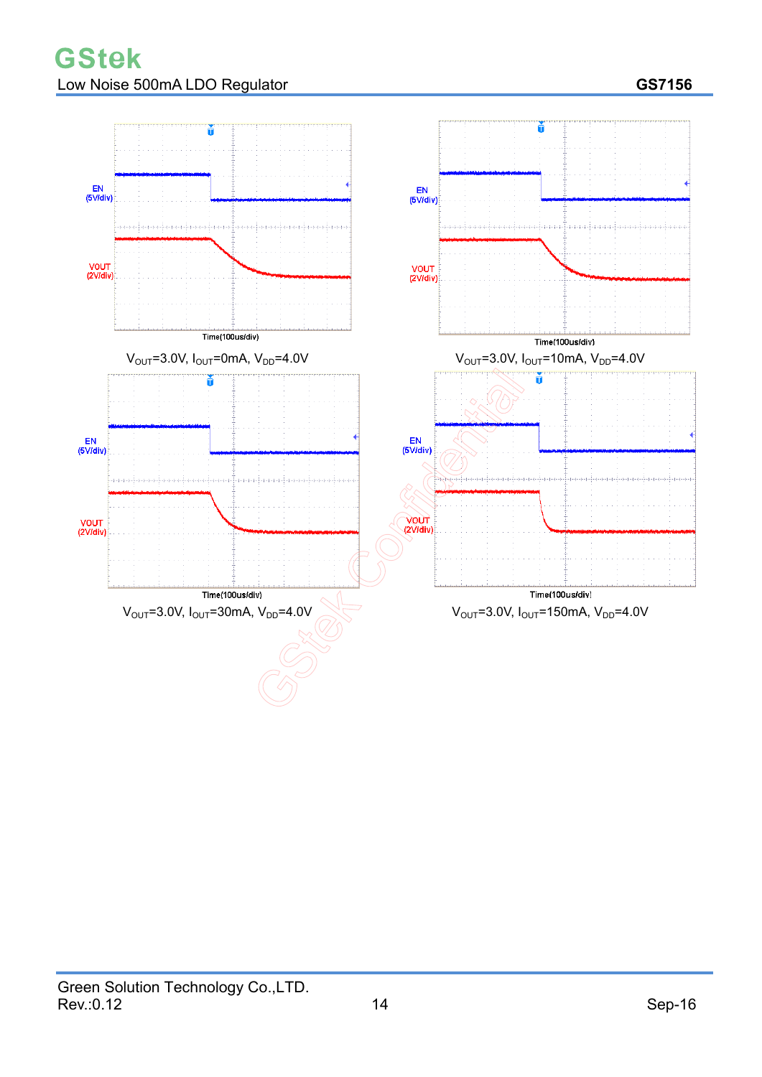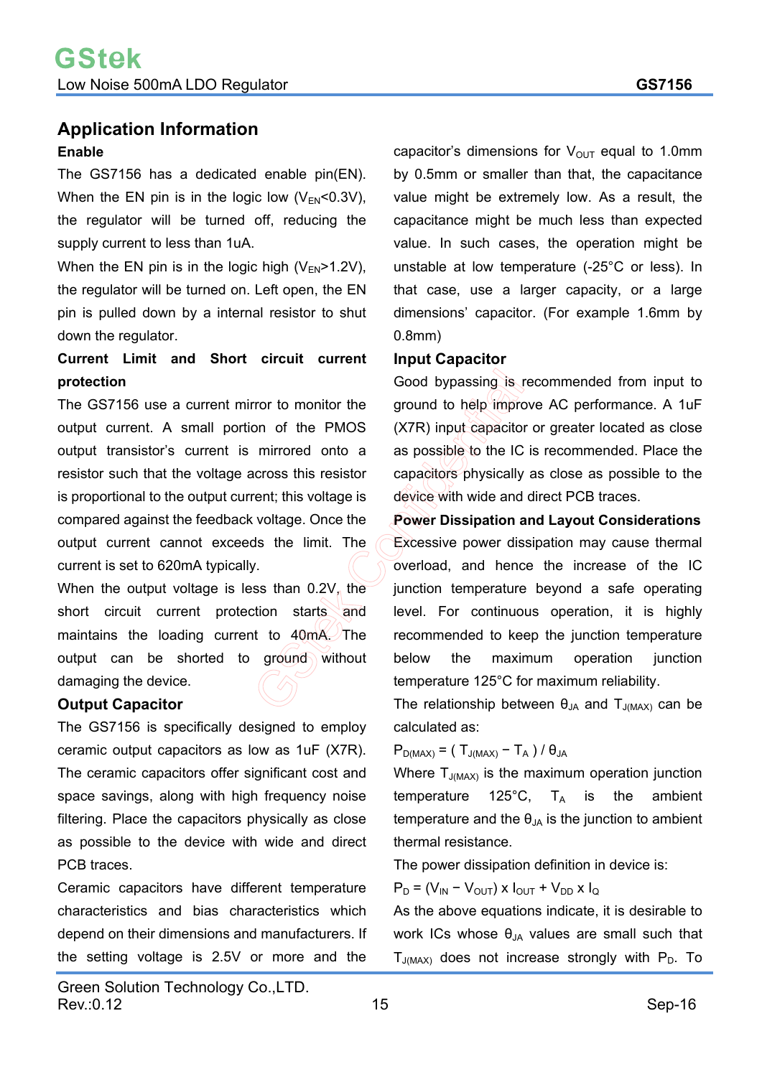# **Application Information Enable**

The GS7156 has a dedicated enable pin(EN). When the EN pin is in the logic low  $(V_{EN}<0.3V)$ , the regulator will be turned off, reducing the supply current to less than 1uA.

When the EN pin is in the logic high  $(V_{EN} > 1.2V)$ , the regulator will be turned on. Left open, the EN pin is pulled down by a internal resistor to shut down the regulator.

## **Current Limit and Short circuit current protection**

The GS7156 use a current mirror to monitor the output current. A small portion of the PMOS output transistor's current is mirrored onto a resistor such that the voltage across this resistor is proportional to the output current; this voltage is compared against the feedback voltage. Once the output current cannot exceeds the limit. The current is set to 620mA typically.

When the output voltage is less than  $0/2V$ , the short circuit current protection starts and maintains the loading current to 40mA. The output can be shorted to ground without damaging the device.

### **Output Capacitor**

The GS7156 is specifically designed to employ ceramic output capacitors as low as 1uF (X7R). The ceramic capacitors offer significant cost and space savings, along with high frequency noise filtering. Place the capacitors physically as close as possible to the device with wide and direct PCB traces.

Ceramic capacitors have different temperature characteristics and bias characteristics which depend on their dimensions and manufacturers. If the setting voltage is 2.5V or more and the capacitor's dimensions for  $V_{\text{OUT}}$  equal to 1.0mm by 0.5mm or smaller than that, the capacitance value might be extremely low. As a result, the capacitance might be much less than expected value. In such cases, the operation might be unstable at low temperature  $(-25)$ <sup>o</sup> or less). In that case, use a larger capacity, or a large dimensions' capacitor. (For example 1.6mm by

### **Input Capacitor**

0.8mm)

Good bypassing is recommended from input to ground to help improve AC performance. A 1uF  $(X7R)$  input capacitor or greater located as close as possible to the IC is recommended. Place the capacitors physically as close as possible to the device with wide and direct PCB traces.

**Power Dissipation and Layout Considerations**  Excessive power dissipation may cause thermal overload, and hence the increase of the IC junction temperature beyond a safe operating level. For continuous operation, it is highly recommended to keep the junction temperature below the maximum operation junction temperature 125°C for maximum reliability.

The relationship between  $\theta_{JA}$  and  $T_{J(MAX)}$  can be calculated as:

### $P_{D(MAX)} = (T_{J(MAX)} - T_A) / \theta_{JA}$

Where  $T_{J(MAX)}$  is the maximum operation junction temperature 125 $^{\circ}$ C, T<sub>A</sub> is the ambient temperature and the  $\theta_{JA}$  is the junction to ambient thermal resistance.

The power dissipation definition in device is:

 $P_D = (V_{IN} - V_{OUT}) \times I_{OUT} + V_{DD} \times I_{Q}$ 

As the above equations indicate, it is desirable to work ICs whose  $\theta_{JA}$  values are small such that  $T_{J(MAX)}$  does not increase strongly with  $P_D$ . To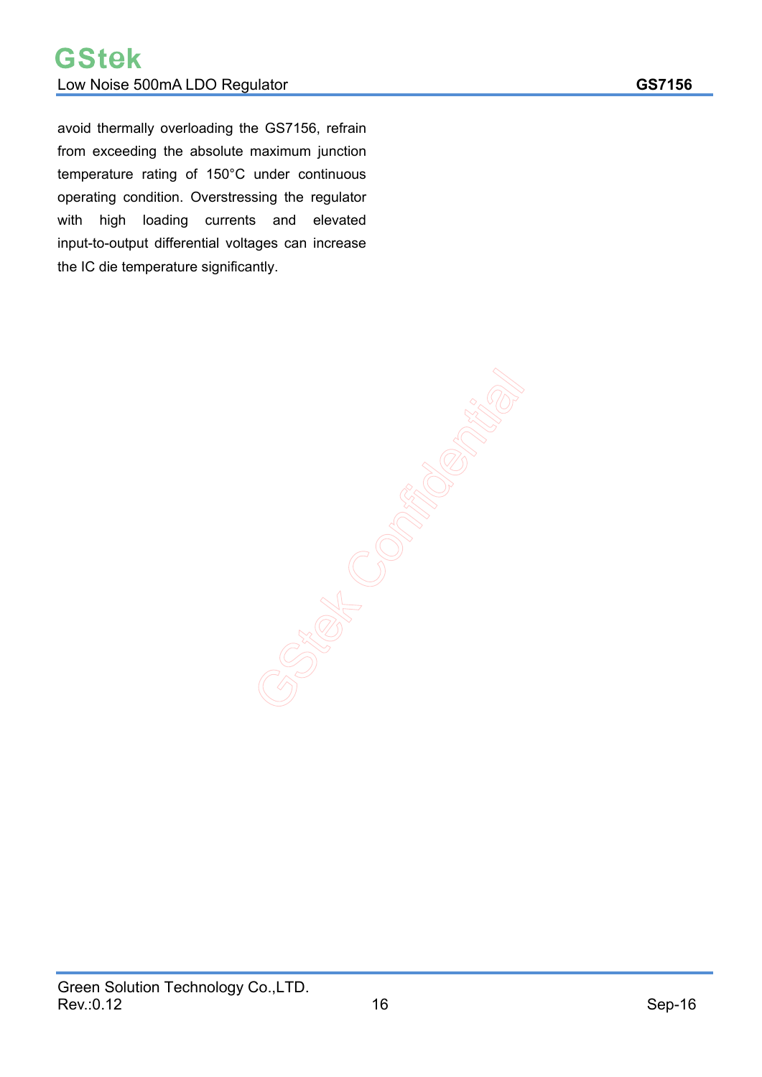avoid thermally overloading the GS7156, refrain from exceeding the absolute maximum junction temperature rating of 150°C under continuous operating condition. Overstressing the regulator with high loading currents and elevated input-to-output differential voltages can increase the IC die temperature significantly.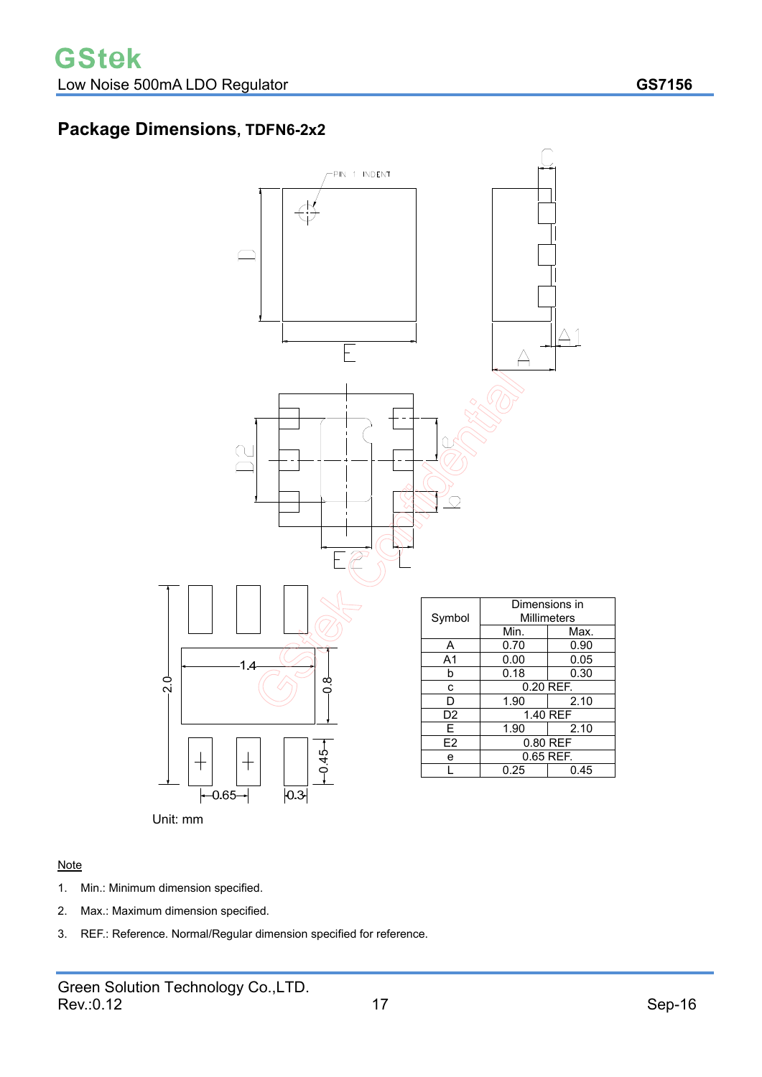# **Package Dimensions, TDFN6-2x2**



#### Note

- 1. Min.: Minimum dimension specified.
- 2. Max.: Maximum dimension specified.
- 3. REF.: Reference. Normal/Regular dimension specified for reference.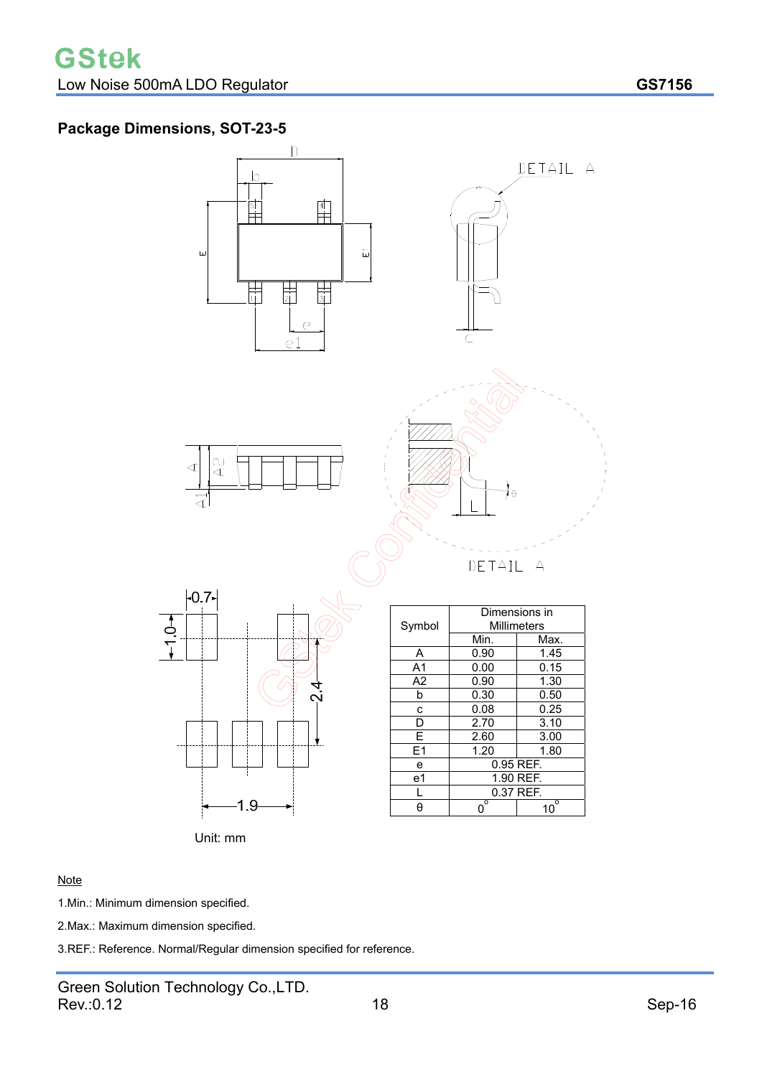# **Package Dimensions, SOT-23-5**



### **Note**

1.Min.: Minimum dimension specified.

2.Max.: Maximum dimension specified.

3.REF.: Reference. Normal/Regular dimension specified for reference.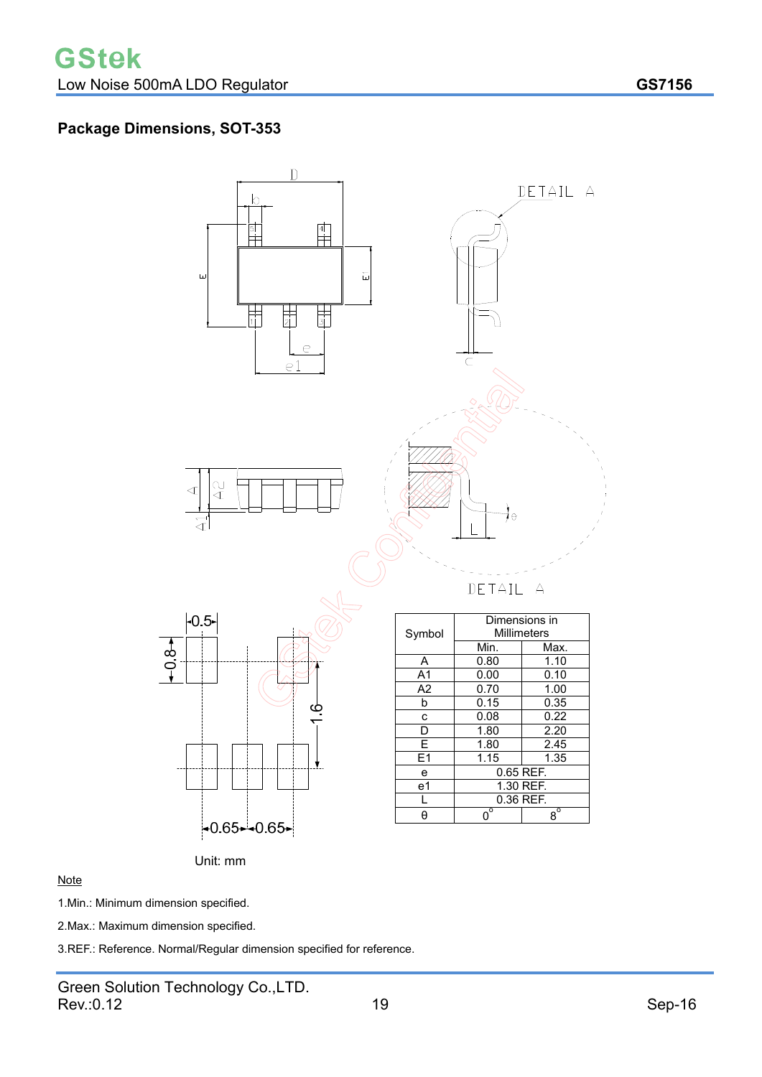# **Package Dimensions, SOT-353**



#### **Note**

1.Min.: Minimum dimension specified.

2.Max.: Maximum dimension specified.

3.REF.: Reference. Normal/Regular dimension specified for reference.